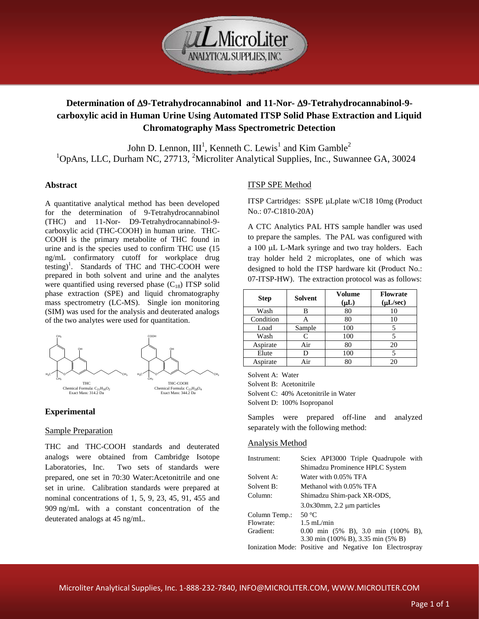

# **Determination of 9-Tetrahydrocannabinol and 11-Nor-9-Tetrahydrocannabinol-9 carboxylic acid in Human Urine Using Automated ITSP Solid Phase Extraction and Liquid Chromatography Mass Spectrometric Detection**

John D. Lennon,  $III<sup>1</sup>$ , Kenneth C. Lewis<sup>1</sup> and Kim Gamble<sup>2</sup>  $1$ OpAns, LLC, Durham NC, 27713,  $2$ Microliter Analytical Supplies, Inc., Suwannee GA, 30024

## **Abstract**

A quantitative analytical method has been developed for the determination of 9-Tetrahydrocannabinol (THC) and 11-Nor- D9-Tetrahydrocannabinol-9 carboxylic acid (THC-COOH) in human urine. THC-COOH is the primary metabolite of THC found in urine and is the species used to confirm THC use (15 ng/mL confirmatory cutoff for workplace drug testing) 1 . Standards of THC and THC-COOH were prepared in both solvent and urine and the analytes were quantified using reversed phase  $(C_{18})$  ITSP solid phase extraction (SPE) and liquid chromatography mass spectrometry (LC-MS). Single ion monitoring (SIM) was used for the analysis and deuterated analogs of the two analytes were used for quantitation.



# **Experimental**

## Sample Preparation

THC and THC-COOH standards and deuterated analogs were obtained from Cambridge Isotope Laboratories, Inc. Two sets of standards were prepared, one set in 70:30 Water:Acetonitrile and one set in urine. Calibration standards were prepared at nominal concentrations of 1, 5, 9, 23, 45, 91, 455 and 909 ng/mL with a constant concentration of the deuterated analogs at 45 ng/mL.

# ITSP SPE Method

ITSP Cartridges: SSPE µLplate w/C18 10mg (Product No.: 07-C1810-20A)

A CTC Analytics PAL HTS sample handler was used to prepare the samples. The PAL was configured with a 100 µL L-Mark syringe and two tray holders. Each tray holder held 2 microplates, one of which was designed to hold the ITSP hardware kit (Product No.: 07-ITSP-HW). The extraction protocol was as follows:

| <b>Step</b> | <b>Solvent</b> | <b>Volume</b><br>$(\mu L)$ | <b>Flowrate</b><br>$(\mu L/sec)$ |
|-------------|----------------|----------------------------|----------------------------------|
| Wash        | R              | 80                         |                                  |
| Condition   |                | 80                         | 10                               |
| Load        | Sample         | 100                        |                                  |
| Wash        |                | 100                        |                                  |
| Aspirate    | Air            | 80                         | 20                               |
| Elute       | D              | 100                        |                                  |
| Aspirate    |                | 80                         |                                  |

Solvent A: Water

Solvent B: Acetonitrile

Solvent C: 40% Acetonitrile in Water

Solvent D: 100% Isopropanol

Samples were prepared off-line and analyzed separately with the following method:

## Analysis Method

| Instrument:   | Sciex API3000 Triple Quadrupole with                    |  |  |
|---------------|---------------------------------------------------------|--|--|
|               | Shimadzu Prominence HPLC System                         |  |  |
| Solvent A:    | Water with 0.05% TFA                                    |  |  |
| Solvent B:    | Methanol with 0.05% TFA                                 |  |  |
| Column:       | Shimadzu Shim-pack XR-ODS,                              |  |  |
|               | $3.0x30$ mm, $2.2 \mu$ m particles                      |  |  |
| Column Temp.: | 50 $\degree$ C                                          |  |  |
| Flowrate:     | $1.5 \text{ mL/min}$                                    |  |  |
| Gradient:     | 0.00 min $(5\%$ B), 3.0 min $(100\%$ B),                |  |  |
|               | 3.30 min (100% B), 3.35 min (5% B)                      |  |  |
|               | Ionization Mode: Positive and Negative Ion Electrospray |  |  |